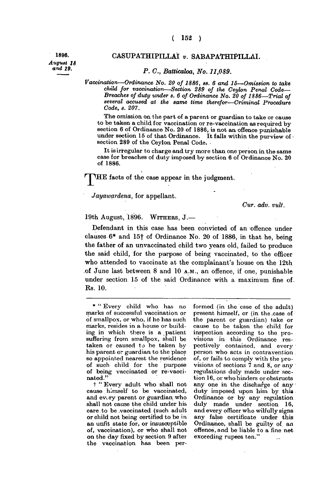*August 18 and* 19.

**r**

## **1896. CASUPATHIPILLAI** *v.* **SABAPATHIPILLAI.**

## *- P. C, Batticaloa, No. 11,089.*

*Vaccination—Ordinance No. 20 of 1886, as. 6 and 15*—*Omission to take child for vaccination—Section 289 of the Ceylon Penal Code— Breaches of duty under s. 6 of Ordinance No. 20 of 1886*—*Trial of several accused at the same time therefor—Criminal Procedure Code, s. 207.* 

**The omission, on the part of a parent or guardian to take or cause to be taken a child for vaccination or re-vaccination as required by section 6 of Ordinance No. 20 of 1886, is not an offence punishable**  under section 15 of that Ordinance. It falls within the purview of  $\cdot$ **section 289 of the Ceylon Penal Code. •** 

**It is irregular to charge and try more than one person in the same case for breaches of duty imposed by section 6 of Ordinance No. 20 of 1886.** 

**JJHE facts of the case appear in the judgment.** 

*Jayawardena,* **for appellant.** 

*Cur. adv. vult.* 

**19th August, 1896. WITHERS , J. —** 

**Defendant in this case has been convicted of an offence under clauses 6\* and 15f of Ordinance No . 20 of 1886, in that he, being the father of an unvaccinated child two years old, failed to produce the said child, for the purpose of being vaccinated, to the officer who attended to vaccinate at the complainant's house on the 12th of June last between 8 and 10 A.M. , an offence, if one, punishable under section 15 of the said Ordinance with a maximum fine of. Rs. 10.** 

**t " Every adult who shall not cause himself to be vaccinated,**  and ev<sub>**Ty** parent or guardian who</sub> **shall not cause the child under his care.to be .vaccinated (such adult or child not being certified to be in an unfit state for, or insusceptible of, vaccination), or who shall not on the day fixed by section 9 after the vaccination has been per-** **formed (in the case of the adult) present himself, or (in the .case of the parent or guardian) take or cause to be taken the child for inspection according to the provisions in this Ordinance respectively contained, and every person who acts in contravention of, or fails to comply with the provisioas of sections 7 and 8, or any regulations duly made under section 16, or who hinders or obstructs any one in the discharge of any duty imposed upon him by thia Ordinance or by any regulation duly made under section 16, and every officer who wilfully signs any false certificate under this Ordinance, shall be guilty of. an offence, and be liable to a fine not exceeding rupees ten."** 

**<sup>\* &</sup>quot; Every child who has no marks of successful vaccination or of smallpox, or who, if he has such marks, resides in a house or building in which there is a patient suffering from smallpox, shall be taken or caused to be taken by his parent or guardian to the place so appointed nearest the residence of such child for the purpose of being vaccinated or re-vaccinated."**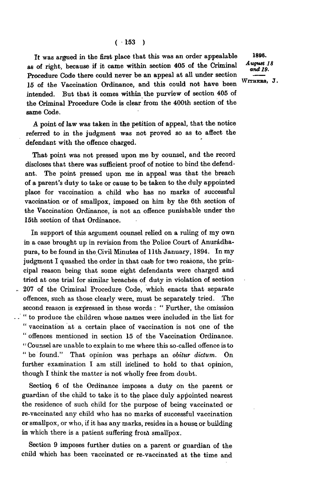**It was argued in the first place that this was an order appealable**  as of right, because if it came within section 405 of the Criminal **Procedure Code there could never be an appeal at all under section 15 of the Vaccination Ordinance, and this could not have been intended. But that it comes within the purview of section 405 of the Criminal Procedure Code is clear from the 400th section of the same Code.** 

**A point of law was taken in the petition of appeal, that the notice referred to in the judgment was not proved so as to affect the defendant with the offence charged.** 

**That point was not pressed upon me by counsel, and the record discloses that there was sufficient proof of notice to bind the defendant. The point pressed upon me in appeal was that the breach of a parent's duty to take or cause to be taken to the duly appointed place for vaccination a child who has no marks of successful vaccination or of smallpox, imposed on him by the 6th section of the Vaccination Ordinance, is not an offence punishable under the 15th section of that Ordinance.** 

**In support of this argument counsel relied on a ruling of my own in a case brought up in revision from the Police Court of Anuradhapura, to be found in the Civil Minutes of 11th January, 1894. In my**  judgment I quashed the order in that case for two reasons, the prin**cipal reason being that some eight defendants were charged and tried at one trial for similar breaches of duty in violation of section 207 of the Criminal Procedure Code, which enacts that separate offences, such as those clearly were, must be separately tried. The second reason is expressed in these words : " Further, the omission " to produce the children whose names were included in the list for " vaccination at a certain place of vaccination is not one of the " offences mentioned in section 15 of the Vaccination Ordinance. "Counsel are unable to explain to me where this so-called offence is to " be found." That opinion was perhaps an** *obitur dictum.* **On further examination I am still inclined to hold to that opinion, though I think the matter is not wholly free from doubt.** 

Section<sub>6</sub> of the Ordinance imposes a duty on the parent or **guardian of the child to take it to the place duly appointed nearest the residence of such child for the purpose of being vaccinated or re-vaccinated any child who has no marks of successful vaccination or smallpox, or who, if it has any marks, resides in a house or building**  in which there is a patient suffering from smallpox.

**Section 9 imposes further duties on a parent or guardian of the child which has been vaccinated or re-vaccinated at the time and** 

1896. August 18  $and 19.$ 

WITHERS, J.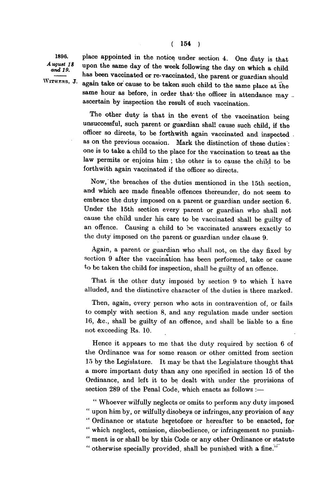1896. August 18 and 19.

WITHERS, J.

**place appointed in the notice under section 4. One duty is that upon the same day of the week following the day on which a child has been vaccinated or re-vaccinated, the parent or guardian should**  again take or cause to be taken such child to the same place at the same hour as before, in order that the officer in attendance may ... **ascertain by inspection the result of such vaccination.** 

**The other duty is that in the event of the vaccination being unsuccessful, such parent or guardian shall cause such child, if the officer so directs, to be forthwith again vaccinated and inspected . as on the previous occasion. Mark the distinction of these duties : one is to take a child to the place for the vaccination to treat as the law permits or enjoins him ; the other is to cause the child to be forthwith again vaccinated if the officer so directs.** 

**Now, the breaches of the duties mentioned in the 15th section, and which are made fineable offences thereunder, do not seem to embrace the duty imposed on a parent or guardian under section 6. Under the 15th section every parent or guardian who shall not cause the child under his care to be vaccinated shall be guilty of an offence. Causing a child to be vaccinated answers exactly to the duty imposed on the parent or guardian under clause 9.** 

**Again, a parent or guardian who shall not, on the day fixed by section 9 after the vaccination has been performed, take or cause to be taken the child for inspection, shall be guilty of an offence.** 

**That is the other duty imposed by section 9 to which I have alluded, and the distinctive character of the duties is there marked.** 

**Then, again, every person who acts in contravention of, or fails to comply with section 8, and any regulation made under section 16, &c , shall be guilty of an offence, and shall be liable to a fine not exceeding Rs. 10.** 

**Hence it appears to me that the duty required by section 6 of the Ordinance was for some reason or other omitted from section 15 by the Legislature. It may be that the Legislature thought that a more important duty than any one specified in section 15 of the Ordinance, and left it to be dealt with under the provisions of section 289 of the Penal Code, which enacts as follows :—** 

**" Whoever wilfully neglects or omits to perform any duty imposed " upon him by, or wilfully disobeys or infringes, any provision of any " Ordinance or statute heretofore or hereafter to be enacted, for " which neglect, omission, disobedience, or infringement no punish - " ment is or shall be by this Code or any other Ordinance or statute " otherwise specially provided, shall be punished with a fine."**